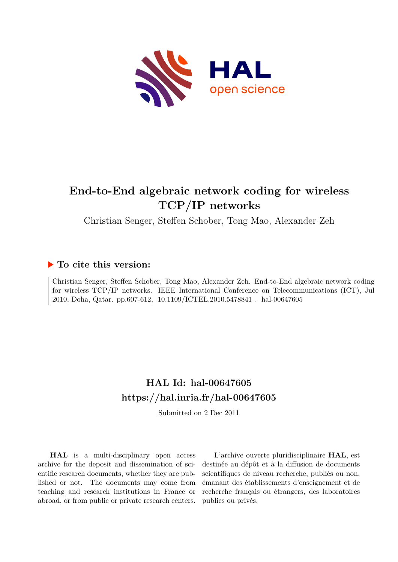

## **End-to-End algebraic network coding for wireless TCP/IP networks**

Christian Senger, Steffen Schober, Tong Mao, Alexander Zeh

### **To cite this version:**

Christian Senger, Steffen Schober, Tong Mao, Alexander Zeh. End-to-End algebraic network coding for wireless TCP/IP networks. IEEE International Conference on Telecommunications (ICT), Jul 2010, Doha, Qatar. pp.607-612, 10.1109/ICTEL.2010.5478841. hal-00647605

## **HAL Id: hal-00647605 <https://hal.inria.fr/hal-00647605>**

Submitted on 2 Dec 2011

**HAL** is a multi-disciplinary open access archive for the deposit and dissemination of scientific research documents, whether they are published or not. The documents may come from teaching and research institutions in France or abroad, or from public or private research centers.

L'archive ouverte pluridisciplinaire **HAL**, est destinée au dépôt et à la diffusion de documents scientifiques de niveau recherche, publiés ou non, émanant des établissements d'enseignement et de recherche français ou étrangers, des laboratoires publics ou privés.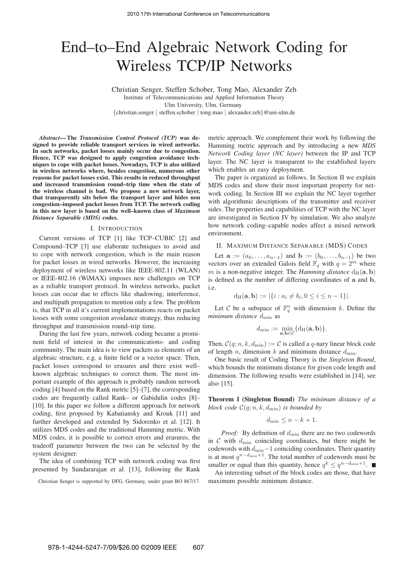# End–to–End Algebraic Network Coding for Wireless TCP/IP Networks

Christian Senger, Steffen Schober, Tong Mao, Alexander Zeh Institute of Telecommunications and Applied Information Theory Ulm University, Ulm, Germany {christian.senger | steffen.schober | tong.mao | alexander.zeh}@uni-ulm.de

*Abstract***— The** *Transmission Control Protocol (TCP)* **was designed to provide reliable transport services in wired networks. In such networks, packet losses mainly occur due to congestion. Hence, TCP was designed to apply congestion avoidance techniques to cope with packet losses. Nowadays, TCP is also utilized in wireless networks where, besides congestion, numerous other reasons for packet losses exist. This results in reduced throughput and increased transmission round–trip time when the state of the wireless channel is bad. We propose a new network layer, that transparently sits below the transport layer and hides non congestion–imposed packet losses from TCP. The network coding in this new layer is based on the well–known class of** *Maximum Distance Separable (MDS)* **codes.**

#### I. INTRODUCTION

Current versions of TCP [1] like TCP–CUBIC [2] and Compound–TCP [3] use elaborate techniques to avoid and to cope with network congestion, which is the main reason for packet losses in wired networks. However, the increasing deployment of wireless networks like IEEE-802.11 (WLAN) or IEEE-802.16 (WiMAX) imposes new challenges on TCP as a reliable transport protocol. In wireless networks, packet losses can occur due to effects like shadowing, interference, and multipath propagation to mention only a few. The problem is, that TCP in all it's current implementations reacts on packet losses with some congestion avoidance strategy, thus reducing throughput and transmission round–trip time.

During the last few years, network coding became a prominent field of interest in the communications- and coding community. The main idea is to view packets as elements of an algebraic structure, e.g. a finite field or a vector space. Then, packet losses correspond to erasures and there exist well– known algebraic techniques to correct them. The most important example of this approach is probably random network coding [4] based on the Rank metric [5]–[7], the corresponding codes are frequently called Rank– or Gabidulin codes [8]– [10]. In this paper we follow a different approach for network coding, first proposed by Kabatiansky and Krouk [11] and further developed and extended by Sidorenko et al. [12]. It utilizes MDS codes and the traditional Hamming metric. With MDS codes, it is possible to correct errors and erasures, the tradeoff parameter between the two can be selected by the system designer.

The idea of combining TCP with network coding was first presented by Sundararajan et al. [13], following the Rank

Christian Senger is supported by DFG, Germany, under grant BO 867/17.

metric approach. We complement their work by following the Hamming metric approach and by introducing a new *MDS Network Coding layer (NC layer)* between the IP and TCP layer. The NC layer is transparent to the established layers which enables an easy deployment.

The paper is organized as follows. In Section II we explain MDS codes and show their most important property for network coding. In Section III we explain the NC layer together with algorithmic descriptions of the transmitter and receiver sides. The properties and capabilities of TCP with the NC layer are investigated in Section IV by simulation. We also analyze how network coding–capable nodes affect a mixed network environment.

#### II. MAXIMUM DISTANCE SEPARABLE (MDS) CODES

Let  $\mathbf{a} := (a_0, \dots, a_{n-1})$  and  $\mathbf{b} := (b_0, \dots, b_{n-1})$  be two vectors over an extended Galois field  $\mathbb{F}_q$  with  $q = 2^m$  where m is a non-negative integer. The *Hamming distance*  $d_H(a, b)$ is defined as the number of differing coordinates of a and b, i.e.

$$
d_H(\mathbf{a}, \mathbf{b}) := |\{i : a_i \neq b_i, 0 \le i \le n-1\}|.
$$

Let C be a subspace of  $\mathbb{F}_q^n$  with dimension k. Define the *minimum distance*  $d_{\min}$  as

$$
d_{\min} := \min_{\mathbf{a},\mathbf{b}\in\mathcal{C}} \{d_H(\mathbf{a},\mathbf{b})\}.
$$

Then,  $C(q; n, k, d_{\min}) := C$  is called a q-nary linear block code of length n, dimension k and minimum distance  $d_{\min}$ .

One basic result of Coding Theory is the *Singleton Bound*, which bounds the minimum distance for given code length and dimension. The following results were established in [14], see also [15].

**Theorem 1 (Singleton Bound)** *The minimum distance of a block code*  $C(q; n, k, d_{\min})$  *is bounded by* 

$$
d_{\min} \leq n - k + 1.
$$

*Proof:* By definition of  $d_{\text{min}}$  there are no two codewords in  $\mathcal C$  with  $d_{\min}$  coinciding coordinates, but there might be codewords with  $d_{\text{min}}-1$  coinciding coordinates. Their quantity is at most  $q^{n-d_{\min}+1}$ . The total number of codewords must be smaller or equal than this quantity, hence  $q^k \leq q^{n-d_{\min}+1}$ .

An interesting subset of the block codes are those, that have maximum possible minimum distance.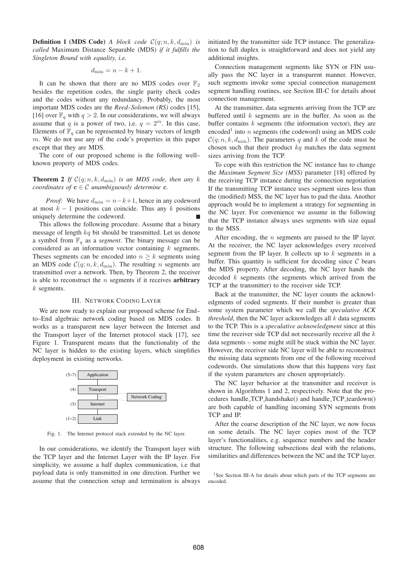**Definition 1 (MDS Code)** *A block code*  $C(q; n, k, d_{\min})$  *is called* Maximum Distance Separable (MDS) *if it fulfills the Singleton Bound with equality, i.e.*

$$
d_{\min} = n - k + 1.
$$

It can be shown that there are no MDS codes over  $\mathbb{F}_2$ besides the repetition codes, the single parity check codes and the codes without any redundancy. Probably, the most important MDS codes are the *Reed–Solomon (RS)* codes [15], [16] over  $\mathbb{F}_q$  with  $q > 2$ . In our considerations, we will always assume that q is a power of two, i.e.  $q = 2^m$ . In this case, Elements of  $\mathbb{F}_q$  can be represented by binary vectors of length m. We do not use any of the code's properties in this paper except that they are MDS.

The core of our proposed scheme is the following well– known property of MDS codes.

**Theorem 2** *If*  $C(q; n, k, d_{\min})$  *is an MDS code, then any* k *coordinates of*  $c \in C$  *unambiguously determine c.* 

*Proof:* We have  $d_{\min} = n - k + 1$ , hence in any codeword at most  $k - 1$  positions can coincide. Thus any k positions uniquely determine the codeword.

This allows the following procedure. Assume that a binary message of length  $kq$  bit should be transmitted. Let us denote a symbol from  $\mathbb{F}_q$  as a *segment*. The binary message can be considered as an information vector containing k segments. Theses segments can be encoded into  $n \geq k$  segments using an MDS code  $C(q; n, k, d_{\min})$ . The resulting *n* segments are transmitted over a network. Then, by Theorem 2, the receiver is able to reconstruct the n segments if it receives **arbitrary**  $k$  segments.

#### III. NETWORK CODING LAYER

We are now ready to explain our proposed scheme for End– to–End algebraic network coding based on MDS codes. It works as a transparent new layer between the Internet and the Transport layer of the Internet protocol stack [17], see Figure 1. Transparent means that the functionality of the NC layer is hidden to the existing layers, which simplifies deployment in existing networks.



Fig. 1. The Internet protocol stack extended by the NC layer.

In our considerations, we identify the Transport layer with the TCP layer and the Internet Layer with the IP layer. For simplicity, we assume a half duplex communication, i.e that payload data is only transmitted in one direction. Further we assume that the connection setup and termination is always initiated by the transmitter side TCP instance. The generalization to full duplex is straightforward and does not yield any additional insights.

Connection management segments like SYN or FIN usually pass the NC layer in a transparent manner. However, such segments invoke some special connection management segment handling routines, see Section III-C for details about connection management.

At the transmitter, data segments arriving from the TCP are buffered until  $k$  segments are in the buffer. As soon as the buffer contains  $k$  segments (the information vector), they are encoded<sup>1</sup> into *n* segments (the codeword) using an MDS code  $C(q; n, k, d_{\min})$ . The parameters q and k of the code must be chosen such that their product  $kq$  matches the data segment sizes arriving from the TCP.

To cope with this restriction the NC instance has to change the *Maximum Segment Size (MSS)* parameter [18] offered by the receiving TCP instance during the connection negotiation If the transmitting TCP instance uses segment sizes less than the (modified) MSS, the NC layer has to pad the data. Another approach would be to implement a strategy for segmenting in the NC layer. For convenience we assume in the following that the TCP instance always uses segments with size equal to the MSS.

After encoding, the  $n$  segments are passed to the IP layer. At the receiver, the NC layer acknowledges every received segment from the IP layer. It collects up to  $k$  segments in a buffer. This quantity is sufficient for decoding since  $C$  bears the MDS property. After decoding, the NC layer hands the decoded k segments (the segments which arrived from the TCP at the transmitter) to the receiver side TCP.

Back at the transmitter, the NC layer counts the acknowledgments of coded segments. If their number is greater than some system parameter which we call the *speculative ACK threshold*, then the NC layer acknowledges all  $k$  data segments to the TCP. This is a *speculative acknowledgment* since at this time the receiver side TCP did not necessarily receive all the  $k$ data segments – some might still be stuck within the NC layer. However, the receiver side NC layer will be able to reconstruct the missing data segments from one of the following received codewords. Our simulations show that this happens very fast if the system parameters are chosen appropriately.

The NC layer behavior at the transmitter and receiver is shown in Algorithms 1 and 2, respectively. Note that the procedures handle\_TCP\_handshake() and handle\_TCP\_teardown() are both capable of handling incoming SYN segments from TCP and IP.

After the coarse description of the NC layer, we now focus on some details. The NC layer copies most of the TCP layer's functionalities, e.g. sequence numbers and the header structure. The following subsections deal with the relations, similarities and differences between the NC and the TCP layer.

<sup>&</sup>lt;sup>1</sup>See Section III-A for details about which parts of the TCP segments are encoded.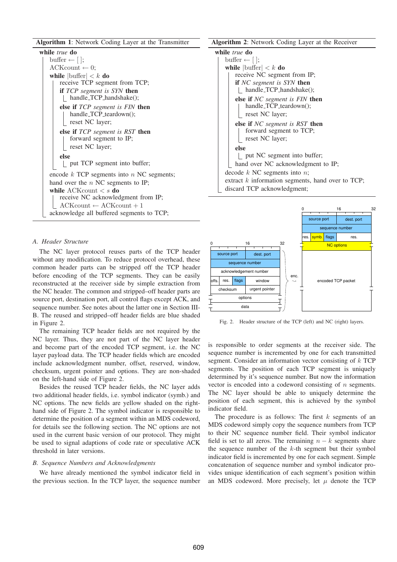**Algorithm 1**: Network Coding Layer at the Transmitter

| while true do |                                                  |  |
|---------------|--------------------------------------------------|--|
|               | buffer $\leftarrow$ [ ];                         |  |
|               | $\text{ACKcount} \leftarrow 0;$                  |  |
|               | while $ \text{buffer}  < k$ do                   |  |
|               | receive TCP segment from TCP;                    |  |
|               | <b>if</b> TCP segment is SYN <b>then</b>         |  |
|               | handle_TCP_handshake();                          |  |
|               | <b>else if</b> TCP segment is FIN <b>then</b>    |  |
|               | handle_TCP_teardown();                           |  |
|               | reset NC layer;                                  |  |
|               | else if TCP segment is RST then                  |  |
|               | forward segment to IP;                           |  |
|               | reset NC layer;                                  |  |
|               | else                                             |  |
|               | put TCP segment into buffer;                     |  |
|               | encode $k$ TCP segments into $n$ NC segments;    |  |
|               | hand over the $n$ NC segments to IP;             |  |
|               | while $\text{ACKcount} < s$ do                   |  |
|               | receive NC acknowledgment from IP;               |  |
|               | $\text{ACKcount} \leftarrow \text{ACKcount} + 1$ |  |
|               | acknowledge all buffered segments to TCP;        |  |
|               |                                                  |  |

#### *A. Header Structure*

The NC layer protocol reuses parts of the TCP header without any modification. To reduce protocol overhead, these common header parts can be stripped off the TCP header before encoding of the TCP segments. They can be easily reconstructed at the receiver side by simple extraction from the NC header. The common and stripped–off header parts are source port, destination port, all control flags except ACK, and sequence number. See notes about the latter one in Section III-B. The reused and stripped–off header fields are blue shaded in Figure 2.

The remaining TCP header fields are not required by the NC layer. Thus, they are not part of the NC layer header and become part of the encoded TCP segment, i.e. the NC layer payload data. The TCP header fields which are encoded include acknowledgment number, offset, reserved, window, checksum, urgent pointer and options. They are non-shaded on the left-hand side of Figure 2.

Besides the reused TCP header fields, the NC layer adds two additional header fields, i.e. symbol indicator (symb.) and NC options. The new fields are yellow shaded on the righthand side of Figure 2. The symbol indicator is responsible to determine the position of a segment within an MDS codeword, for details see the following section. The NC options are not used in the current basic version of our protocol. They might be used to signal adaptions of code rate or speculative ACK threshold in later versions.

#### *B. Sequence Numbers and Acknowledgments*

We have already mentioned the symbol indicator field in the previous section. In the TCP layer, the sequence number

#### **Algorithm 2**: Network Coding Layer at the Receiver

| while <i>true</i> do                                                                       |
|--------------------------------------------------------------------------------------------|
| buffer $\leftarrow$ [ ];                                                                   |
| while $ \text{buffer}  < k$ do                                                             |
| receive NC segment from IP;                                                                |
| <b>if</b> NC segment is SYN <b>then</b><br>handle_TCP_handshake();                         |
| else if NC segment is FIN then<br>handle_TCP_teardown();<br>reset NC layer;                |
| <b>else if</b> NC segment is RST <b>then</b><br>forward segment to TCP;<br>reset NC layer; |
| else                                                                                       |
| put NC segment into buffer;                                                                |
| hand over NC acknowledgment to IP;                                                         |
| decode $k$ NC segments into $n$ ;                                                          |
| extract $k$ information segments, hand over to TCP;                                        |
| discard TCP acknowledgment;                                                                |



Fig. 2. Header structure of the TCP (left) and NC (right) layers.

is responsible to order segments at the receiver side. The sequence number is incremented by one for each transmitted segment. Consider an information vector consisting of k TCP segments. The position of each TCP segment is uniquely determined by it's sequence number. But now the information vector is encoded into a codeword consisting of  $n$  segments. The NC layer should be able to uniquely determine the position of each segment, this is achieved by the symbol indicator field.

The procedure is as follows: The first  $k$  segments of an MDS codeword simply copy the sequence numbers from TCP to their NC sequence number field. Their symbol indicator field is set to all zeros. The remaining  $n - k$  segments share the sequence number of the  $k$ -th segment but their symbol indicator field is incremented by one for each segment. Simple concatenation of sequence number and symbol indicator provides unique identification of each segment's position within an MDS codeword. More precisely, let  $\mu$  denote the TCP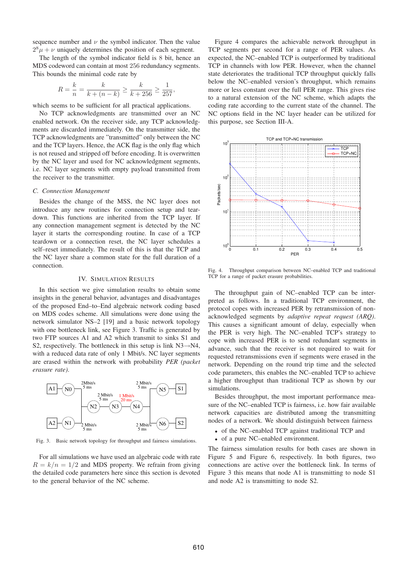sequence number and  $\nu$  the symbol indicator. Then the value  $2^{8}\mu + \nu$  uniquely determines the position of each segment.

The length of the symbol indicator field is 8 bit, hence an MDS codeword can contain at most 256 redundancy segments. This bounds the minimal code rate by

$$
R = \frac{k}{n} = \frac{k}{k + (n - k)} \ge \frac{k}{k + 256} \ge \frac{1}{257},
$$

which seems to be sufficient for all practical applications.

No TCP acknowledgments are transmitted over an NC enabled network. On the receiver side, any TCP acknowledgments are discarded immediately. On the transmitter side, the TCP acknowledgments are "transmitted" only between the NC and the TCP layers. Hence, the ACK flag is the only flag which is not reused and stripped off before encoding. It is overwritten by the NC layer and used for NC acknowledgment segments, i.e. NC layer segments with empty payload transmitted from the receiver to the transmitter.

#### *C. Connection Management*

Besides the change of the MSS, the NC layer does not introduce any new routines for connection setup and teardown. This functions are inherited from the TCP layer. If any connection management segment is detected by the NC layer it starts the corresponding routine. In case of a TCP teardown or a connection reset, the NC layer schedules a self–reset immediately. The result of this is that the TCP and the NC layer share a common state for the full duration of a connection.

#### IV. SIMULATION RESULTS

In this section we give simulation results to obtain some insights in the general behavior, advantages and disadvantages of the proposed End–to–End algebraic network coding based on MDS codes scheme. All simulations were done using the network simulator NS–2 [19] and a basic network topology with one bottleneck link, see Figure 3. Traffic is generated by two FTP sources A1 and A2 which transmit to sinks S1 and S2, respectively. The bottleneck in this setup is link  $N3 \rightarrow N4$ , with a reduced data rate of only 1 Mbit/s. NC layer segments are erased within the network with probability *PER (packet erasure rate)*.



Fig. 3. Basic network topology for throughput and fairness simulations.

For all simulations we have used an algebraic code with rate  $R = k/n = 1/2$  and MDS property. We refrain from giving the detailed code parameters here since this section is devoted to the general behavior of the NC scheme.

Figure 4 compares the achievable network throughput in TCP segments per second for a range of PER values. As expected, the NC–enabled TCP is outperformed by traditional TCP in channels with low PER. However, when the channel state deteriorates the traditional TCP throughput quickly falls below the NC–enabled version's throughput, which remains more or less constant over the full PER range. This gives rise to a natural extension of the NC scheme, which adapts the coding rate according to the current state of the channel. The NC options field in the NC layer header can be utilized for this purpose, see Section III-A.



Fig. 4. Throughput comparison between NC–enabled TCP and traditional TCP for a range of packet erasure probabilities.

The throughput gain of NC–enabled TCP can be interpreted as follows. In a traditional TCP environment, the protocol copes with increased PER by retransmission of nonacknowledged segments by *adaptive repeat request (ARQ)*. This causes a significant amount of delay, especially when the PER is very high. The NC–enabled TCP's strategy to cope with increased PER is to send redundant segments in advance, such that the receiver is not required to wait for requested retransmissions even if segments were erased in the network. Depending on the round trip time and the selected code parameters, this enables the NC–enabled TCP to achieve a higher throughput than traditional TCP as shown by our simulations.

Besides throughput, the most important performance measure of the NC–enabled TCP is fairness, i.e. how fair available network capacities are distributed among the transmitting nodes of a network. We should distinguish between fairness

- of the NC–enabled TCP against traditional TCP and
- of a pure NC–enabled environment.

The fairness simulation results for both cases are shown in Figure 5 and Figure 6, respectively. In both figures, two connections are active over the bottleneck link. In terms of Figure 3 this means that node A1 is transmitting to node S1 and node A2 is transmitting to node S2.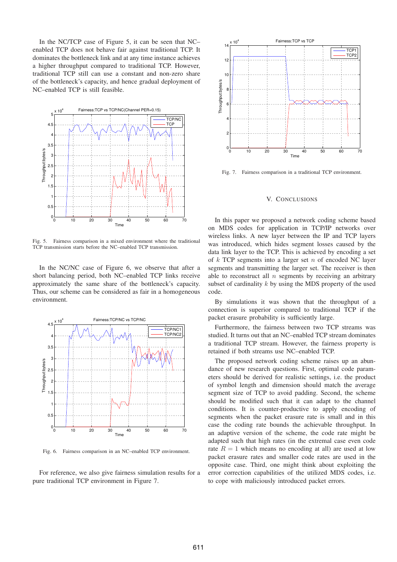In the NC/TCP case of Figure 5, it can be seen that NC– enabled TCP does not behave fair against traditional TCP. It dominates the bottleneck link and at any time instance achieves a higher throughput compared to traditional TCP. However, traditional TCP still can use a constant and non-zero share of the bottleneck's capacity, and hence gradual deployment of NC–enabled TCP is still feasible.



Fig. 5. Fairness comparison in a mixed environment where the traditional TCP transmission starts before the NC–enabled TCP transmission.

In the NC/NC case of Figure 6, we observe that after a short balancing period, both NC–enabled TCP links receive approximately the same share of the bottleneck's capacity. Thus, our scheme can be considered as fair in a homogeneous environment.



Fig. 6. Fairness comparison in an NC–enabled TCP environment.

For reference, we also give fairness simulation results for a pure traditional TCP environment in Figure 7.



Fig. 7. Fairness comparison in a traditional TCP environment.

#### V. CONCLUSIONS

In this paper we proposed a network coding scheme based on MDS codes for application in TCP/IP networks over wireless links. A new layer between the IP and TCP layers was introduced, which hides segment losses caused by the data link layer to the TCP. This is achieved by encoding a set of  $k$  TCP segments into a larger set  $n$  of encoded NC layer segments and transmitting the larger set. The receiver is then able to reconstruct all  $n$  segments by receiving an arbitrary subset of cardinality  $k$  by using the MDS property of the used code.

By simulations it was shown that the throughput of a connection is superior compared to traditional TCP if the packet erasure probability is sufficiently large.

Furthermore, the fairness between two TCP streams was studied. It turns out that an NC–enabled TCP stream dominates a traditional TCP stream. However, the fairness property is retained if both streams use NC–enabled TCP.

The proposed network coding scheme raises up an abundance of new research questions. First, optimal code parameters should be derived for realistic settings, i.e. the product of symbol length and dimension should match the average segment size of TCP to avoid padding. Second, the scheme should be modified such that it can adapt to the channel conditions. It is counter-productive to apply encoding of segments when the packet erasure rate is small and in this case the coding rate bounds the achievable throughput. In an adaptive version of the scheme, the code rate might be adapted such that high rates (in the extremal case even code rate  $R = 1$  which means no encoding at all) are used at low packet erasure rates and smaller code rates are used in the opposite case. Third, one might think about exploiting the error correction capabilities of the utilized MDS codes, i.e. to cope with maliciously introduced packet errors.